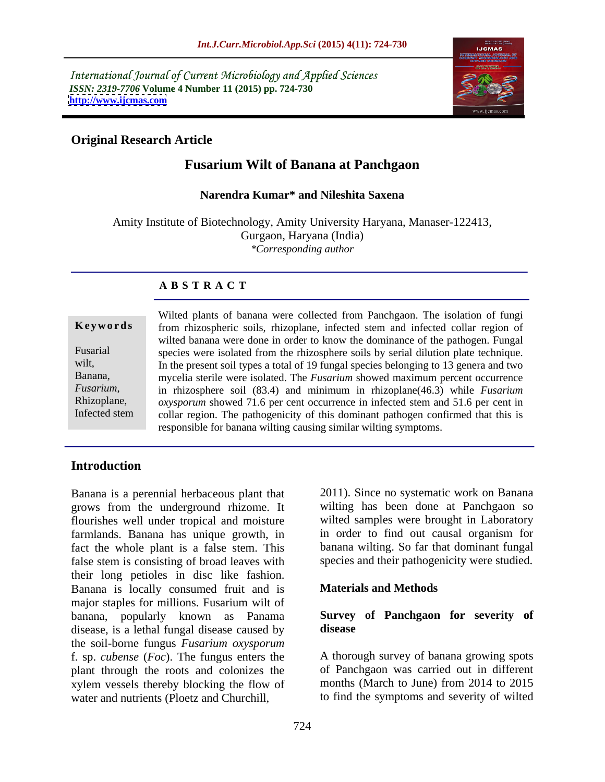International Journal of Current Microbiology and Applied Sciences *ISSN: 2319-7706* Volume 4 Number 11 (2015) pp. 724-730<br>http://www.ijcmas.com **<http://www.ijcmas.com>**



### **Original Research Article**

### **Fusarium Wilt of Banana at Panchgaon**

#### **Narendra Kumar\* and Nileshita Saxena**

Amity Institute of Biotechnology, Amity University Haryana, Manaser-122413, Gurgaon, Haryana (India) *\*Corresponding author*

#### **A B S T R A C T**

Infected stem

Wilted plants of banana were collected from Panchgaon. The isolation of fungi Keywords from rhizospheric soils, rhizoplane, infected stem and infected collar region of wilted banana were done in order to know the dominance of the pathogen. Fungal Fusarial species were isolated from the rhizosphere soils by serial dilution plate technique. wilt, In the present soil types a total of 19 fungal species belonging to 13 genera and two Banana, mycelia sterile were isolated. The *Fusarium* showed maximum percent occurrence in rhizosphere soil (83.4) and minimum in rhizoplane(46.3) while *Fusarium Fusarium*, Rhizoplane, oxysporum showed 71.6 per cent occurrence in infected stem and 51.6 per cent in collar region. The pathogenicity of this dominant pathogen confirmed that this is responsible for banana wilting causing similar wilting symptoms.

#### **Introduction**

Banana is a perennial herbaceous plant that grows from the underground rhizome. It flourishes well under tropical and moisture farmlands. Banana has unique growth, in fact the whole plant is a false stem. This false stem is consisting of broad leaves with their long petioles in disc like fashion. Banana is locally consumed fruit and is major staples for millions. Fusarium wilt of banana, popularly known as Panama **Survey of Panchgaon for severity of** disease, is a lethal fungal disease caused by **disease** the soil-borne fungus *Fusarium oxysporum* f. sp. *cubense* (*Foc*). The fungus enters the plant through the roots and colonizes the xylem vessels thereby blocking the flow of water and nutrients (Ploetz and Churchill, to find the symptoms and severity of wilted

2011). Since no systematic work on Banana wilting has been done at Panchgaon so wilted samples were brought in Laboratory in order to find out causal organism for banana wilting. So far that dominant fungal species and their pathogenicity were studied.

#### **Materials and Methods**

# **disease**

A thorough survey of banana growing spots of Panchgaon was carried out in different months (March to June) from 2014 to 2015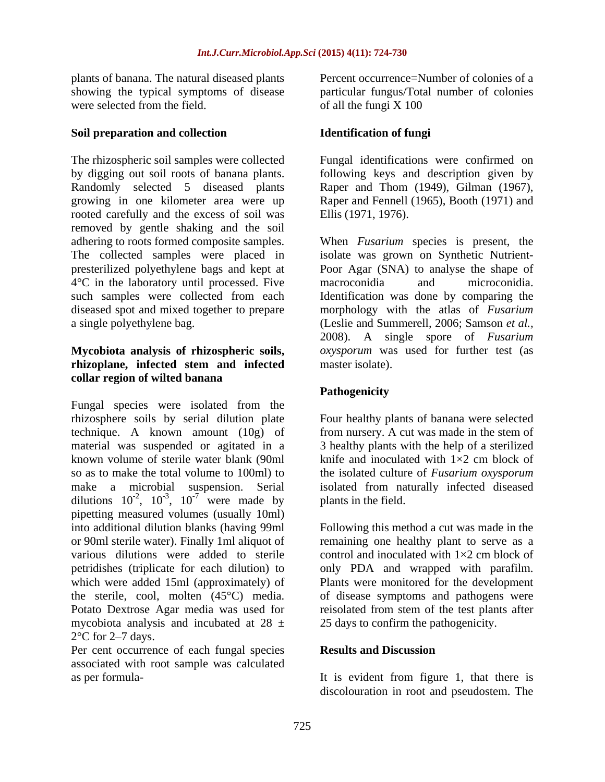plants of banana. The natural diseased plants showing the typical symptoms of disease were selected from the field. The of all the fungi X 100

#### **Soil preparation and collection**

The rhizospheric soil samples were collected Fungal identifications were confirmed on by digging out soil roots of banana plants. following keys and description given by Randomly selected 5 diseased plants growing in one kilometer area were up Raper and Fennell (1965), Booth (1971) and rooted carefully and the excess of soil was Ellis (1971, 1976). removed by gentle shaking and the soil adhering to roots formed composite samples. When *Fusarium* species is present, the The collected samples were placed in presterilized polyethylene bags and kept at 4<sup>o</sup>C in the laboratory until processed. Five macroconidia and microconidia. such samples were collected from each Identification was done by comparing the diseased spot and mixed together to prepare morphology with the atlas of *Fusarium*  a single polyethylene bag. (Leslie and Summerell, 2006; Samson *et al.,*

## **rhizoplane, infected stem and infected collar region of wilted banana**

Fungal species were isolated from the rhizosphere soils by serial dilution plate Four healthy plants of banana were selected technique. A known amount (10g) of from nursery. A cut was made in the stem of material was suspended or agitated in a 3 healthy plants with the help of a sterilized known volume of sterile water blank (90ml knife and inoculated with  $1\times2$  cm block of so as to make the total volume to 100ml) to the isolated culture of *Fusarium oxysporum* make a microbial suspension. Serial isolated from naturally infected diseased dilutions  $10^{-2}$ ,  $10^{-3}$ ,  $10^{-7}$  were made by plants in the field. pipetting measured volumes (usually 10ml) into additional dilution blanks (having 99ml Following this method a cut was made in the or 90ml sterile water). Finally 1ml aliquot of remaining one healthy plant to serve as a various dilutions were added to sterile control and inoculated with  $1\times 2$  cm block of petridishes (triplicate for each dilution) to only PDA and wrapped with parafilm. which were added 15ml (approximately) of Plants were monitored for the development the sterile, cool, molten (45°C) media. of disease symptoms and pathogens were Potato Dextrose Agar media was used for mycobiota analysis and incubated at  $28 \pm$  $2^{\circ}$ C for 2–7 days.

Per cent occurrence of each fungal species **Results and Discussion** associated with root sample was calculated as per formula-

Percent occurrence=Number of colonies of a particular fungus/Total number of colonies of all the fungi X 100

#### **Identification of fungi**

Raper and Thom (1949), Gilman (1967). Ellis (1971, 1976).

**Mycobiota analysis of rhizospheric soils,** *oxysporum* was used for further test (as isolate was grown on Synthetic Nutrient- Poor Agar (SNA) to analyse the shape of macroconidia and microconidia. 2008). A single spore of *Fusarium*  master isolate).

#### **Pathogenicity**

were made by plants in the field. knife and inoculated with  $1\times 2$  cm block of plants in the field.

reisolated from stem of the test plants after 25 days to confirm the pathogenicity.

#### **Results and Discussion**

It is evident from figure 1, that there is discolouration in root and pseudostem. The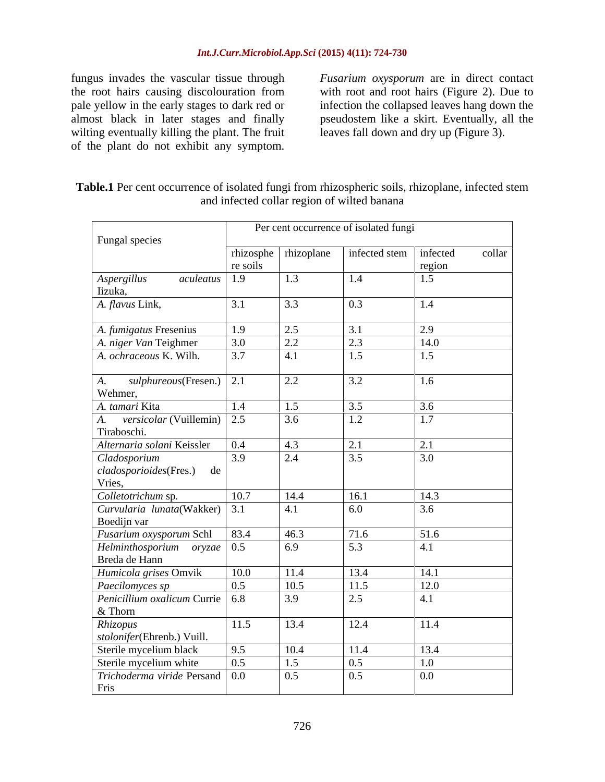fungus invades the vascular tissue through *Fusarium oxysporum* are in direct contact the root hairs causing discolouration from with root and root hairs (Figure 2). Due to wilting eventually killing the plant. The fruit of the plant do not exhibit any symptom. fungus invades the vascular tissue through *Fusarium oxysporum* are in direct contact the root hairs causing discolouration from with root and root hairs (Figure 2). Due to infection the collapsed leaves hang down the almo

the root hairs causing discolouration from with root and root hairs (Figure 2). Due to pale yellow in the early stages to dark red or infection the collapsed leaves hang down the almost black in later stages and finally infection the collapsed leaves hang down the pseudostem like a skirt. Eventually, all the leaves fall down and dry up (Figure 3).

| Table.1 Per cent occurrence<br>infected stem<br>of isolated fungi from rhizospheric soils, rhizoplane, |
|--------------------------------------------------------------------------------------------------------|
| afected collar region of wilted banana<br>and                                                          |

|                                             | Per cent occurrence of isolated fungi |                     |                          |        |        |
|---------------------------------------------|---------------------------------------|---------------------|--------------------------|--------|--------|
| Fungal species                              |                                       |                     |                          |        |        |
|                                             |                                       | rhizosphe nizoplane | infected stem   infected |        | collar |
|                                             | re soils                              |                     |                          | region |        |
| Aspergillus<br>aculeatus<br>Iizuka,         | 1.9                                   | 1.3                 | 1.4                      | 1.5    |        |
| A. flavus Link,                             | 3.1                                   | 3.3                 | $\boxed{0.3}$            | 1.4    |        |
| A. fumigatus Fresenius                      | 1.9                                   | 2.5                 | 3.1                      | 2.9    |        |
| A. niger Van Teighmer                       | 3.0                                   | 2.2                 | 2.3                      | 14.0   |        |
| A. ochraceous K. Wilh.                      | 3.7                                   | 4.1                 | 1.5                      | 1.5    |        |
| sulphureous(Fresen.)   2.1<br>A.<br>Wehmer, |                                       | 2.2                 | 3.2                      | 1.6    |        |
| A. tamari Kita                              | 1.4                                   | 1.5                 | 3.5                      | 3.6    |        |
| A. versicolar (Vuillemin) 2.5               |                                       | 3.6                 | 1.2                      | 1.7    |        |
| Tiraboschi.                                 |                                       |                     |                          |        |        |
| Alternaria solani Keissler                  | 0.4                                   | 4.3                 | 2.1                      | 2.1    |        |
| Cladosporium                                | 3.9                                   | 2.4                 | 3.5                      | 3.0    |        |
| cladosporioides(Fres.) de                   |                                       |                     |                          |        |        |
| Vries,                                      |                                       |                     |                          |        |        |
| Colletotrichum sp.                          | 10.7                                  | 14.4                | 16.1                     | 14.3   |        |
| Curvularia lunata(Wakker) 3.1               |                                       | 4.1                 | 6.0                      | 3.6    |        |
| Boedijn var                                 |                                       |                     |                          |        |        |
| Fusarium oxysporum Schl                     | 83.4                                  | 46.3                | 71.6                     | 51.6   |        |
| $Helminthosporium$ oryzae 0.5               |                                       | 6.9                 | 5.3                      | 4.1    |        |
| Breda de Hann                               |                                       |                     |                          |        |        |
| Humicola grises Omvik                       | 10.0                                  | 11.4                | 13.4                     | 14.1   |        |
| Paecilomyces sp                             | 0.5                                   | 10.5                | 11.5                     | 12.0   |        |
| Penicillium oxalicum Currie 6.8<br>& Thorn  |                                       | 3.9                 | $\boxed{2.5}$            | 4.1    |        |
| Rhizopus                                    | 11.5                                  | 13.4                | 12.4                     | 11.4   |        |
| stolonifer(Ehrenb.) Vuill.                  |                                       |                     |                          |        |        |
| Sterile mycelium black                      | 9.5                                   | 10.4                | 11.4                     | 13.4   |        |
| Sterile mycelium white                      | 0.5                                   | 1.5                 | 0.5                      | 1.0    |        |
| Trichoderma viride Persand 0.0<br>Fris      |                                       | 0.5                 | 0.5                      | 0.0    |        |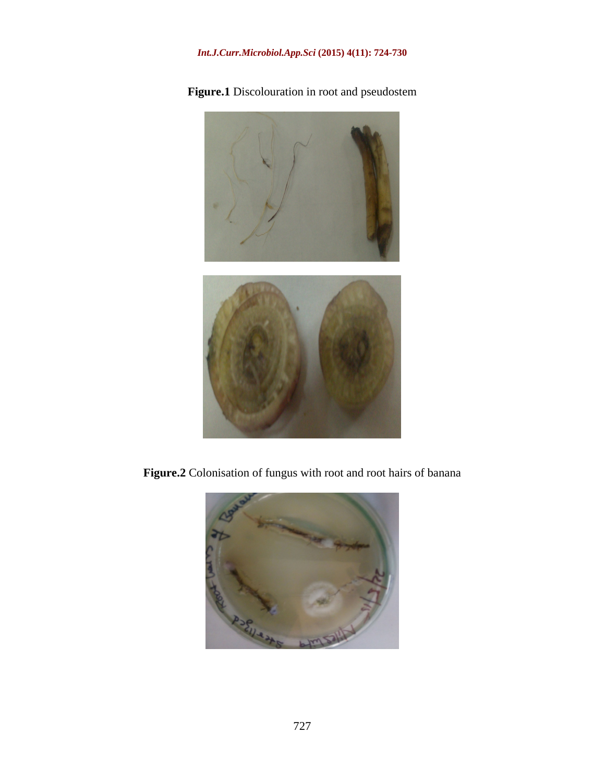### *Int.J.Curr.Microbiol.App.Sci* **(2015) 4(11): 724-730**



**Figure.1** Discolouration in root and pseudostem

**Figure.2** Colonisation of fungus with root and root hairs of banana

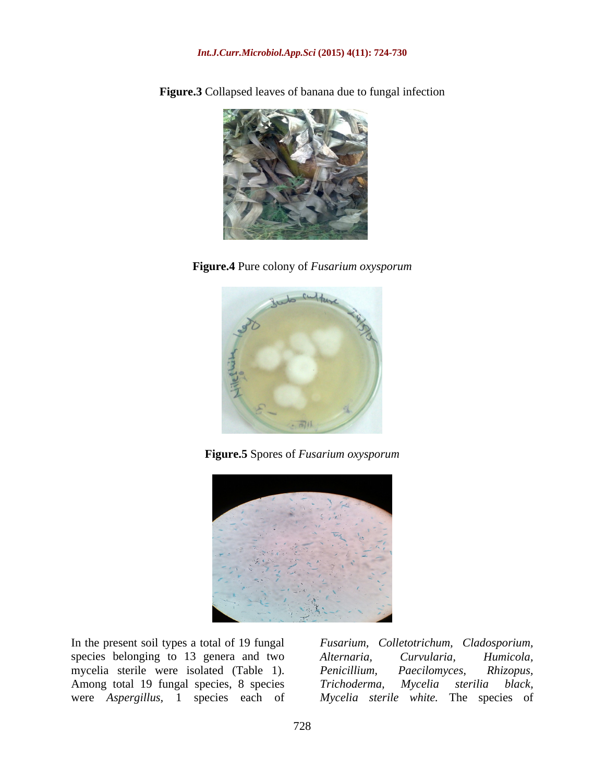

**Figure.3** Collapsed leaves of banana due to fungal infection

**Figure.4** Pure colony of *Fusarium oxysporum*



**Figure.5** Spores of *Fusarium oxysporum*



species belonging to 13 genera and two Alternaria, Curvularia, Humicola, mycelia sterile were isolated (Table 1). Penicillium, Paecilomyces, Rhizopus, Among total 19 fungal species, 8 species Trichoderma, Mycelia sterilia black,

In the present soil types a total of 19 fungal *Fusarium, Colletotrichum, Cladosporium,*  were *Aspergillus,* 1 species each of *Mycelia sterile white.* The species of*Alternaria, Curvularia, Humicola, Penicillium, Paecilomyces, Rhizopus, Trichoderma, Mycelia sterilia black,*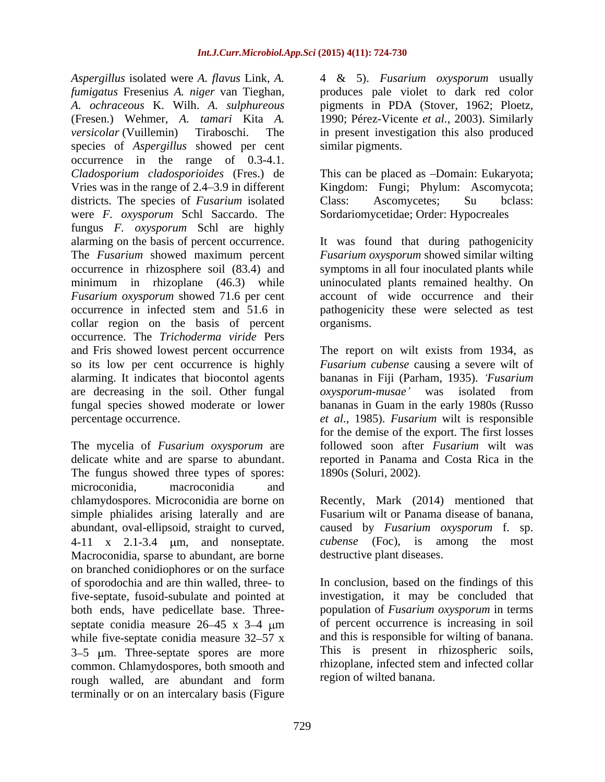*Aspergillus* isolated were *A. flavus* Link, *A. fumigatus* Fresenius *A. niger* van Tieghan, *a. produces pale violet to dark red color A. ochraceous* K. Wilh. *A. sulphureous pigments in PDA* (Stover, 1962; Ploetz, (Fresen.) Wehmer, *A. tamari* Kita *A.* 1990; Pérez-Vicente *et al.,* 2003). Similarly *versicolar* (Vuillemin) Tiraboschi. The in present investigation this also produced species of *Aspergillus* showed per cent occurrence in the range of 0.3-4.1. *Cladosporium cladosporioides* (Fres.) de This can be placed as -Domain: Eukaryota; Vries was in the range of 2.4 3.9 in different Kingdom: Fungi; Phylum: Ascomycota; districts. The species of *Fusarium* isolated Class: Ascomycetes; Su bclass: were *F. oxysporum* Schl Saccardo. The fungus *F. oxysporum* Schl are highly alarming on the basis of percent occurrence. It was found that during pathogenicity The *Fusarium* showed maximum percent *Fusarium oxysporum* showed similar wilting occurrence in rhizosphere soil (83.4) and symptoms in all four inoculated plants while minimum in rhizoplane (46.3) while uninoculated plants remained healthy. On *Fusarium oxysporum* showed 71.6 per cent occurrence in infected stem and 51.6 in pathogenicity these were selected as test collar region on the basis of percent organisms. occurrence. The *Trichoderma viride* Pers and Fris showed lowest percent occurrence The report on wilt exists from 1934, as so its low per cent occurrence is highly *Fusarium cubense* causing a severe wilt of alarming. It indicates that biocontol agents bananas in Fiji (Parham, 1935). *Fusarium* are decreasing in the soil. Other fungal oxysporum-musae' was isolated from fungal species showed moderate or lower bananas in Guam in the early 1980s (Russo percentage occurrence. *et al.,* 1985).*Fusarium* wilt is responsible

The mycelia of *Fusarium oxysporum* are The fungus showed three types of spores: microconidia, macroconidia and chlamydospores. Microconidia are borne on Recently, Mark (2014) mentioned that simple phialides arising laterally and are Fusarium wilt or Panama disease of banana, abundant, oval-ellipsoid, straight to curved, caused by *Fusarium oxysporum* f. sp. 4-11 x 2.1-3.4 m, and nonseptate. Macroconidia, sparse to abundant, are borne on branched conidiophores or on the surface five-septate, fusoid-subulate and pointed at both ends, have pedicellate base. Three septate conidia measure  $26-45 \times 3-4 \text{ }\mu\text{m}$ while five-septate conidia measure  $32-57$  x  $3-5$  µm. Three-septate spores are more common. Chlamydospores, both smooth and rough walled, are abundant and form terminally or on an intercalary basis (Figure

4 & 5). *Fusarium oxysporum* usually produces pale violet to dark red color pigments in PDA (Stover, 1962; Ploetz, similar pigments.

Class: Ascomycetes; Su bclass: Sordariomycetidae; Order: Hypocreales

account of wide occurrence and their organisms.

delicate white and are sparse to abundant. reported in Panama and Costa Rica in the *oxysporum-musae* was isolated from for the demise of the export. The first losses followed soon after *Fusarium* wilt was 1890s (Soluri, 2002).

> *cubense* (Foc), is among the most destructive plant diseases.

of sporodochia and are thin walled, three- to In conclusion, based on the findings of this investigation, it may be concluded that population of *Fusarium oxysporum* in terms of percent occurrence is increasing in soil and this is responsible for wilting of banana. This is present in rhizospheric soils, rhizoplane, infected stem and infected collar region of wilted banana.